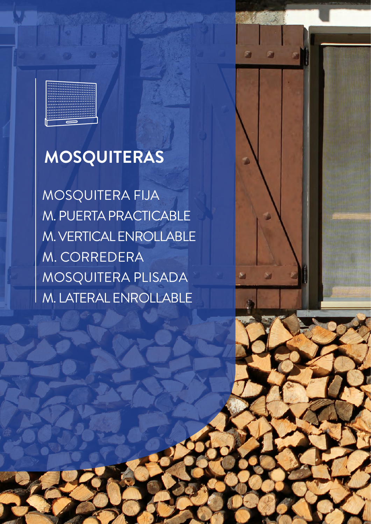# **MOSQUITERAS**

**A** 

×

 $\sqrt{3}$ 

 $\sqrt{\mathcal{N}}$ 

MOSQUITERA FIJA M. PUERTA PRACTICABLE M. VERTICAL ENROLLABLE M. CORREDERA MOSQUITERA PLISADA M. LATERAL ENROLLABLE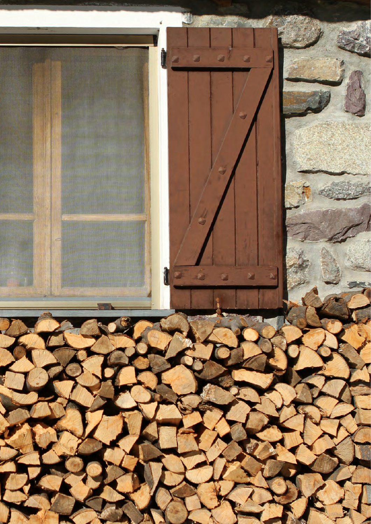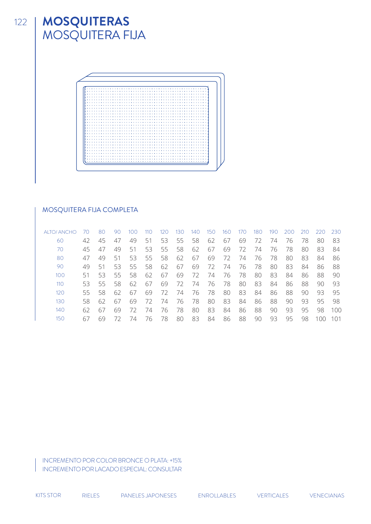### **MOSQUITERAS** MOSQUITERA FIJA



### MOSQUITERA FIJA COMPLETA

| ALTO/ ANCHO |     | 80 | 90  | 100 | 110 | 120 | 130 | 140 | 150 | 160 | 170 | 180 | 190 | 200 | 210 | 220 | 230 |
|-------------|-----|----|-----|-----|-----|-----|-----|-----|-----|-----|-----|-----|-----|-----|-----|-----|-----|
| 60          | 42  | 45 | 47  | 49  | 51  | 53  | 55  | 58  | 62  | 67  | 69  | 72  | 74  | 76  | 78  | 80  | 83  |
| 70          | 45  | 47 | 49  | .51 | 53  | 55  | 58  | 62  | 67  | 69  | 72  | 74  | 76  | 78  | 80  | 83  | -84 |
| 80          | 47  | 49 | 51  | 53  | 55  | 58  | 62  | 67  | 69  | 72  | 74  | 76  | 78  | 80  | 83  | 84  | 86  |
| 90          | 49  | 51 | 53. | 55  | 58  | 62  | 67  | 69  | 72  | 74  | 76  | 78  | 80  | 83  | 84  | 86  | 88  |
| 100         | 51  | 53 | 55. | 58  | 62  | 67  | 69  | 72  | 74  | 76  | 78  | 80  | 83  | 84  | 86  | 88  | 90  |
| 110         | 53. | 55 | 58  | 62  | 67  | 69  | 72  | 74  | 76  | 78  | 80  | 83  | 84  | 86  | 88  | 90  | 93  |
| 120         | 55  | 58 | 62  | 67  | 69  | 72  | 74  | 76  | 78  | 80  | 83  | 84  | 86  | 88  | 90  | 93  | 95  |
| 130         | 58  | 62 | 67  | 69  | 72  | 74  | 76  | 78  | 80  | 83  | 84  | 86  | 88  | 90  | 93  | 95  | 98  |
| 140         | 62  | 67 | 69  | 72  | 74  | 76  | 78  | 80  | 83  | 84  | 86  | 88  | 90  | 93  | 95  | 98  | 100 |
| 150         | 67  | 69 |     | /4  | 76  | 78  | 80  | 83  | 84  | 86  | 88  | 90  | 93  | 95  | 98  | 100 | 101 |

INCREMENTO POR COLOR BRONCE O PLATA: +15% INCREMENTO POR LACADO ESPECIAL: CONSULTAR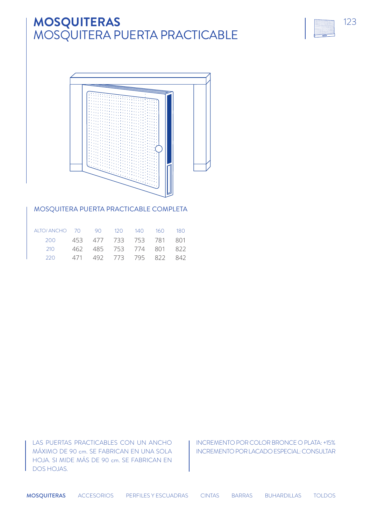# **MOSQUITERAS** MOSQUITERA PUERTA PRACTICABLE



### MOSQUITERA PUERTA PRACTICABLE COMPLETA

| ALTO/ANCHO 70 90 120 140 160 180 |                         |  |  |
|----------------------------------|-------------------------|--|--|
| 200 453 477 733 753 781 801      |                         |  |  |
| 210                              | 462 485 753 774 801 822 |  |  |
| 220 471 492 773 795 822 842      |                         |  |  |

LAS PUERTAS PRACTICABLES CON UN ANCHO MÁXIMO DE 90 cm. SE FABRICAN EN UNA SOLA HOJA. SI MIDE MÁS DE 90 cm. SE FABRICAN EN DOS HOJAS.

INCREMENTO POR COLOR BRONCE O PLATA: +15% INCREMENTO POR LACADO ESPECIAL: CONSULTAR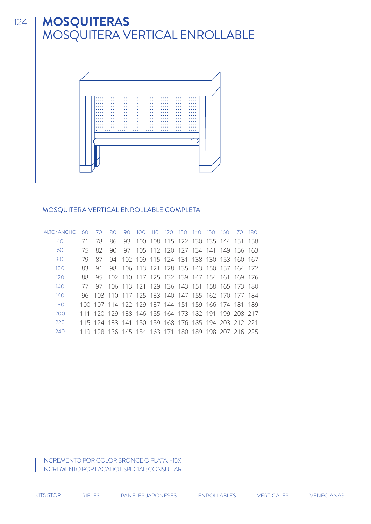## **MOSQUITERAS** MOSQUITERA VERTICAL ENROLLABLE



### MOSQUITERA VERTICAL ENROLLABLE COMPLETA

| ALTO/ANCHO | 60   | 70  | 80 | 90                                                  | $100 - 110$                             |  | 120 130 140 150 160 |  | 170                                 | 180 |
|------------|------|-----|----|-----------------------------------------------------|-----------------------------------------|--|---------------------|--|-------------------------------------|-----|
| 40         |      | 78  | 86 |                                                     | 93 100 108 115 122 130 135 144 151 158  |  |                     |  |                                     |     |
| 60         | 75   | 82  | 90 | 97                                                  |                                         |  |                     |  | 105 112 120 127 134 141 149 156 163 |     |
| 80         | 79   | 87  | 94 |                                                     | 102 109 115 124 131 138 130 153 160 167 |  |                     |  |                                     |     |
| 100        | 83   | 91  | 98 | 106 113 121 128 135 143 150 157 164 172             |                                         |  |                     |  |                                     |     |
| 120        | 88   | 95. |    | 102 110 117 125 132 139 147 154 161 169 176         |                                         |  |                     |  |                                     |     |
| 140        |      | 97  |    | 106 113 121 129 136 143 151 158 165 173 180         |                                         |  |                     |  |                                     |     |
| 160        | 96.  |     |    | 103 110 117 125 133 140 147 155 162 170 177 184     |                                         |  |                     |  |                                     |     |
| 180        |      |     |    | 100 107 114 122 129 137 144 151 159 166 174 181 189 |                                         |  |                     |  |                                     |     |
| 200        |      |     |    | 111 120 129 138 146 155 164 173 182 191 199 208 217 |                                         |  |                     |  |                                     |     |
| 220        |      |     |    | 115 124 133 141 150 159 168 176 185 194 203 212 221 |                                         |  |                     |  |                                     |     |
| 240        | 119. |     |    | 128 136 145 154 163 171                             |                                         |  |                     |  | 180 189 198 207 216 225             |     |

INCREMENTO POR COLOR BRONCE O PLATA: +15% INCREMENTO POR LACADO ESPECIAL: CONSULTAR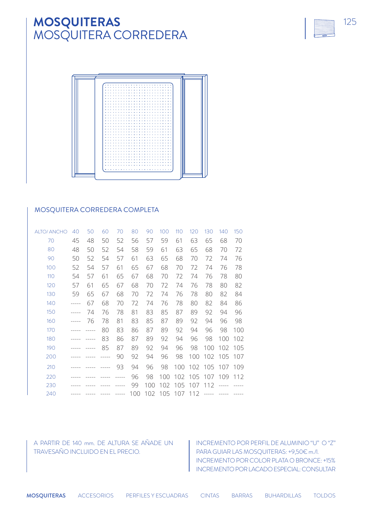### **MOSQUITERAS** MOSQUITERA CORREDERA



#### MOSQUITERA CORREDERA COMPLETA

| <b>ALTO/ ANCHO</b> | 40    | 50 | 60    | 70 | 80  | 90  | 100 | 110 | 120 | 130 | 140   | 150 |
|--------------------|-------|----|-------|----|-----|-----|-----|-----|-----|-----|-------|-----|
| 70                 | 45    | 48 | 50    | 52 | 56  | 57  | 59  | 61  | 63  | 65  | 68    | 70  |
| 80                 | 48    | 50 | 52    | 54 | 58  | 59  | 61  | 63  | 65  | 68  | 70    | 72  |
| 90                 | 50    | 52 | 54    | 57 | 61  | 63  | 65  | 68  | 70  | 72  | 74    | 76  |
| 100                | 52    | 54 | 57    | 61 | 65  | 67  | 68  | 70  | 72  | 74  | 76    | 78  |
| 110                | 54    | 57 | 61    | 65 | 67  | 68  | 70  | 72  | 74  | 76  | 78    | 80  |
| 120                | 57    | 61 | 65    | 67 | 68  | 70  | 72  | 74  | 76  | 78  | 80    | 82  |
| 130                | 59    | 65 | 67    | 68 | 70  | 72  | 74  | 76  | 78  | 80  | 82    | 84  |
| 140                | ----- | 67 | 68    | 70 | 72  | 74  | 76  | 78  | 80  | 82  | 84    | 86  |
| 150                |       | 74 | 76    | 78 | 81  | 83  | 85  | 87  | 89  | 92  | 94    | 96  |
| 160                |       | 76 | 78    | 81 | 83  | 85  | 87  | 89  | 92  | 94  | 96    | 98  |
| 170                |       |    | 80    | 83 | 86  | 87  | 89  | 92  | 94  | 96  | 98    | 100 |
| 180                |       |    | 83    | 86 | 87  | 89  | 92  | 94  | 96  | 98  | 100   | 102 |
| 190                |       |    | 85    | 87 | 89  | 92  | 94  | 96  | 98  | 100 | 102   | 105 |
| 200                |       |    | ----- | 90 | 92  | 94  | 96  | 98  | 100 | 102 | 105   | 107 |
| 210                |       |    |       | 93 | 94  | 96  | 98  | 100 | 102 | 105 | 107   | 109 |
| 220                |       |    |       |    | 96  | 98  | 100 | 102 | 105 | 107 | 109   | 112 |
| 230                |       |    |       |    | 99  | 100 | 102 | 105 | 107 | 112 | ----- |     |
| 240                |       |    |       |    | 100 | 102 | 105 | 107 | 112 |     |       |     |

A PARTIR DE 140 mm. DE ALTURA SE AÑADE UN TRAVESAÑO INCLUIDO EN EL PRECIO.

INCREMENTO POR PERFIL DE ALUMINIO "U" O "Z" PARA GUIAR LAS MOSQUITERAS: +9,50€ m./l. INCREMENTO POR COLOR PLATA O BRONCE: +15% INCREMENTO POR LACADO ESPECIAL: CONSULTAR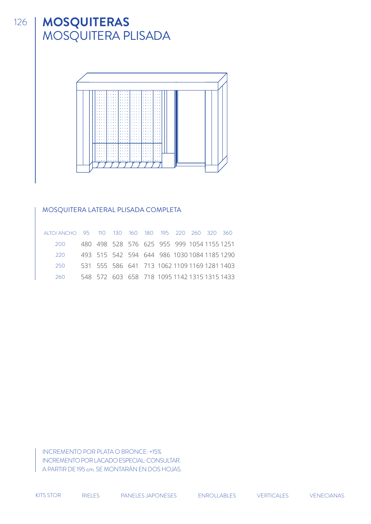### **MOSQUITERAS** MOSQUITERA PLISADA



### MOSQUITERA LATERAL PLISADA COMPLETA

| ALTO/ANCHO 95 110 130 160 180 195 220 260 320 360 |  |  |  |  |                                              |
|---------------------------------------------------|--|--|--|--|----------------------------------------------|
| 200                                               |  |  |  |  | 480 498 528 576 625 955 999 1054 1155 1251   |
| -220-                                             |  |  |  |  | 493 515 542 594 644 986 1030 1084 1185 1290  |
| 250                                               |  |  |  |  | 531 555 586 641 713 1062 1109 1169 1281 1403 |
| 260                                               |  |  |  |  | 548 572 603 658 718 1095 1142 1315 1315 1433 |

INCREMENTO POR PLATA O BRONCE: +15% INCREMENTO POR LACADO ESPECIAL: CONSULTAR. A PARTIR DE 195 cm. SE MONTARÁN EN DOS HOJAS.